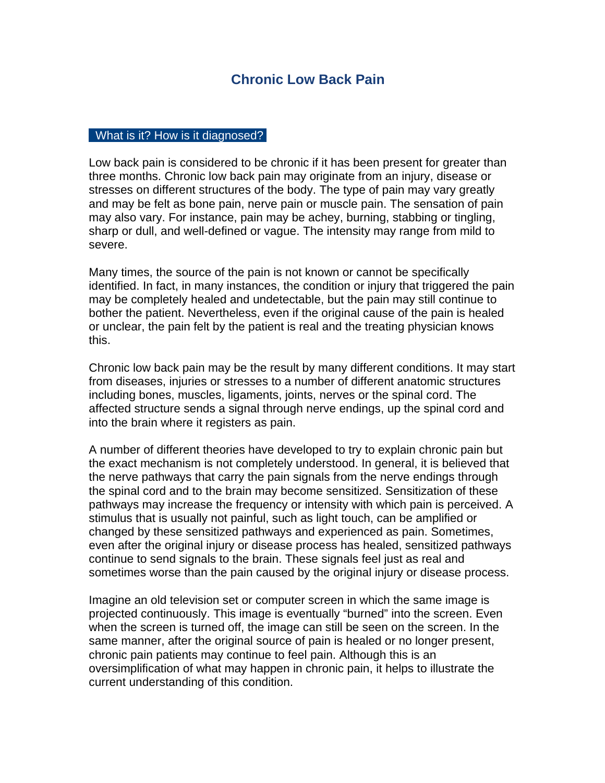## **Chronic Low Back Pain**

## What is it? How is it diagnosed?

Low back pain is considered to be chronic if it has been present for greater than three months. Chronic low back pain may originate from an injury, disease or stresses on different structures of the body. The type of pain may vary greatly and may be felt as bone pain, nerve pain or muscle pain. The sensation of pain may also vary. For instance, pain may be achey, burning, stabbing or tingling, sharp or dull, and well-defined or vague. The intensity may range from mild to severe.

Many times, the source of the pain is not known or cannot be specifically identified. In fact, in many instances, the condition or injury that triggered the pain may be completely healed and undetectable, but the pain may still continue to bother the patient. Nevertheless, even if the original cause of the pain is healed or unclear, the pain felt by the patient is real and the treating physician knows this.

Chronic low back pain may be the result by many different conditions. It may start from diseases, injuries or stresses to a number of different anatomic structures including bones, muscles, ligaments, joints, nerves or the spinal cord. The affected structure sends a signal through nerve endings, up the spinal cord and into the brain where it registers as pain.

A number of different theories have developed to try to explain chronic pain but the exact mechanism is not completely understood. In general, it is believed that the nerve pathways that carry the pain signals from the nerve endings through the spinal cord and to the brain may become sensitized. Sensitization of these pathways may increase the frequency or intensity with which pain is perceived. A stimulus that is usually not painful, such as light touch, can be amplified or changed by these sensitized pathways and experienced as pain. Sometimes, even after the original injury or disease process has healed, sensitized pathways continue to send signals to the brain. These signals feel just as real and sometimes worse than the pain caused by the original injury or disease process.

Imagine an old television set or computer screen in which the same image is projected continuously. This image is eventually "burned" into the screen. Even when the screen is turned off, the image can still be seen on the screen. In the same manner, after the original source of pain is healed or no longer present, chronic pain patients may continue to feel pain. Although this is an oversimplification of what may happen in chronic pain, it helps to illustrate the current understanding of this condition.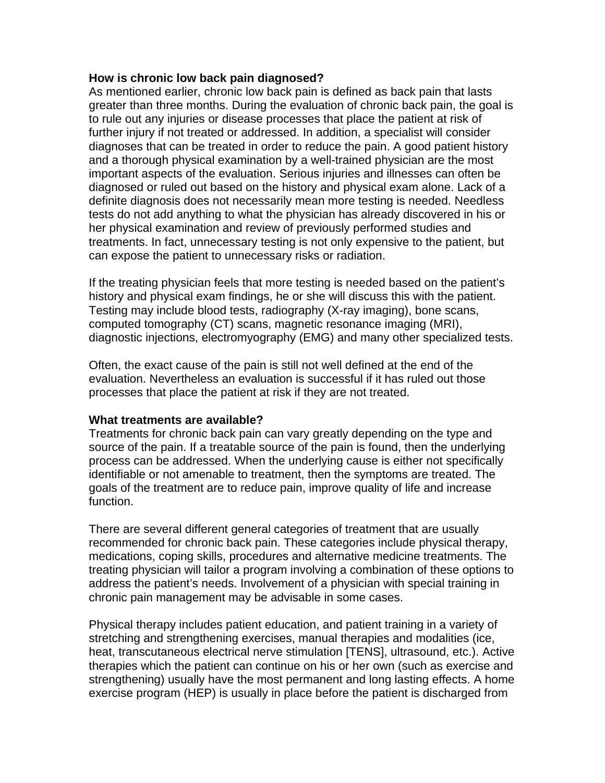## **How is chronic low back pain diagnosed?**

As mentioned earlier, chronic low back pain is defined as back pain that lasts greater than three months. During the evaluation of chronic back pain, the goal is to rule out any injuries or disease processes that place the patient at risk of further injury if not treated or addressed. In addition, a specialist will consider diagnoses that can be treated in order to reduce the pain. A good patient history and a thorough physical examination by a well-trained physician are the most important aspects of the evaluation. Serious injuries and illnesses can often be diagnosed or ruled out based on the history and physical exam alone. Lack of a definite diagnosis does not necessarily mean more testing is needed. Needless tests do not add anything to what the physician has already discovered in his or her physical examination and review of previously performed studies and treatments. In fact, unnecessary testing is not only expensive to the patient, but can expose the patient to unnecessary risks or radiation.

If the treating physician feels that more testing is needed based on the patient's history and physical exam findings, he or she will discuss this with the patient. Testing may include blood tests, radiography (X-ray imaging), bone scans, computed tomography (CT) scans, magnetic resonance imaging (MRI), diagnostic injections, electromyography (EMG) and many other specialized tests.

Often, the exact cause of the pain is still not well defined at the end of the evaluation. Nevertheless an evaluation is successful if it has ruled out those processes that place the patient at risk if they are not treated.

## **What treatments are available?**

Treatments for chronic back pain can vary greatly depending on the type and source of the pain. If a treatable source of the pain is found, then the underlying process can be addressed. When the underlying cause is either not specifically identifiable or not amenable to treatment, then the symptoms are treated. The goals of the treatment are to reduce pain, improve quality of life and increase function.

There are several different general categories of treatment that are usually recommended for chronic back pain. These categories include physical therapy, medications, coping skills, procedures and alternative medicine treatments. The treating physician will tailor a program involving a combination of these options to address the patient's needs. Involvement of a physician with special training in chronic pain management may be advisable in some cases.

Physical therapy includes patient education, and patient training in a variety of stretching and strengthening exercises, manual therapies and modalities (ice, heat, transcutaneous electrical nerve stimulation [TENS], ultrasound, etc.). Active therapies which the patient can continue on his or her own (such as exercise and strengthening) usually have the most permanent and long lasting effects. A home exercise program (HEP) is usually in place before the patient is discharged from